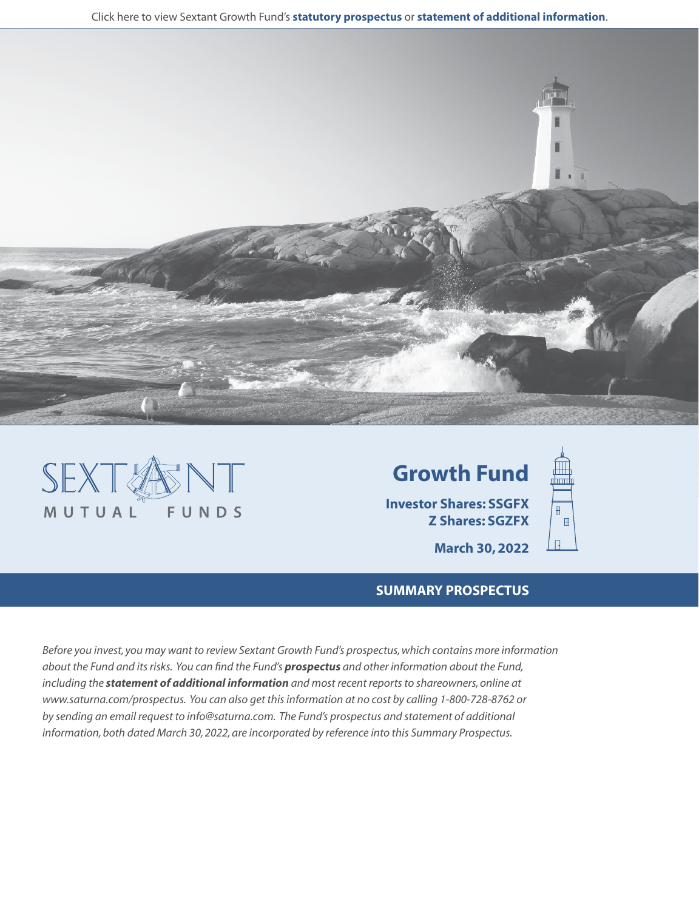







**March 30, 2022**

# **SUMMARY PROSPECTUS**

*Before you invest, you may want to review Sextant Growth Fund's prospectus, which contains more information about the Fund and its risks. You can find the Fund's [prospectus](https://www.saturna.com/sites/saturna.com/files/files/Sextant_Prospectus.pdf) and other information about the Fund, including the [statement of additional information](https://www.saturna.com/sites/saturna.com/files/files/SIT_SAI.pdf) and most recent reports to shareowners, online at www.saturna.com/prospectus. You can also get this information at no cost by calling 1-800-728-8762 or by sending an email request to info@saturna.com. The Fund's prospectus and statement of additional information, both dated March 30, 2022, are incorporated by reference into this Summary Prospectus.*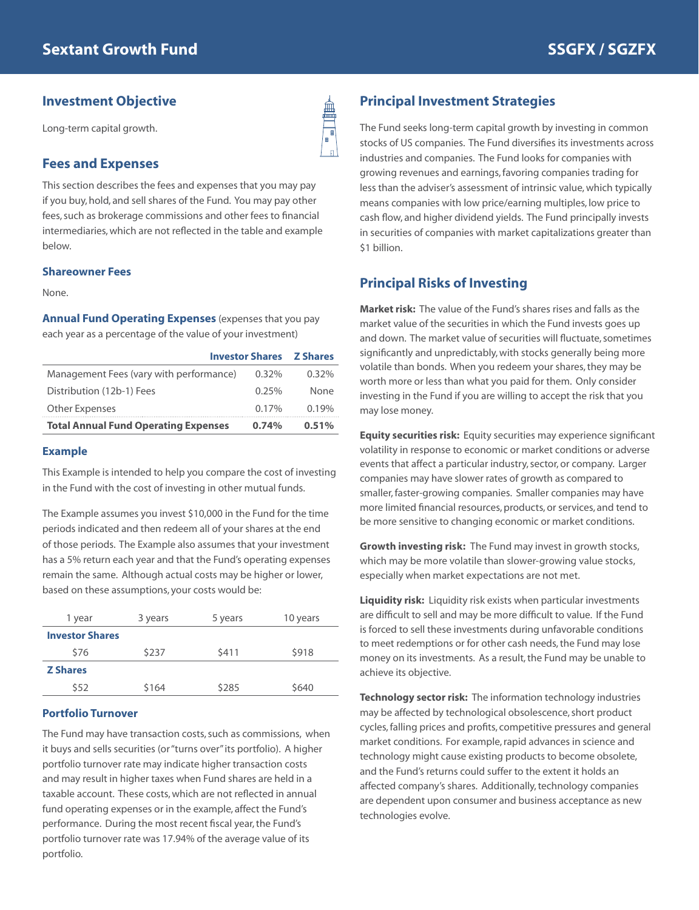## **Investment Objective**

Long-term capital growth.

## **Fees and Expenses**

This section describes the fees and expenses that you may pay if you buy, hold, and sell shares of the Fund. You may pay other fees, such as brokerage commissions and other fees to financial intermediaries, which are not reflected in the table and example below.

#### **Shareowner Fees**

None.

**Annual Fund Operating Expenses** (expenses that you pay each year as a percentage of the value of your investment)

| <b>Investor Shares Z Shares</b>             |          |       |
|---------------------------------------------|----------|-------|
| Management Fees (vary with performance)     | $0.32\%$ | 0.32% |
| Distribution (12b-1) Fees                   | 0.25%    | None  |
| Other Expenses                              | $0.17\%$ | 0.19% |
| <b>Total Annual Fund Operating Expenses</b> | 0.74%    | 0.51% |

#### **Example**

This Example is intended to help you compare the cost of investing in the Fund with the cost of investing in other mutual funds.

The Example assumes you invest \$10,000 in the Fund for the time periods indicated and then redeem all of your shares at the end of those periods. The Example also assumes that your investment has a 5% return each year and that the Fund's operating expenses remain the same. Although actual costs may be higher or lower, based on these assumptions, your costs would be:

| 1 year                 | 3 years | 5 years | 10 years |
|------------------------|---------|---------|----------|
| <b>Investor Shares</b> |         |         |          |
| \$76                   | \$237   | \$411   | \$918    |
| <b>Z</b> Shares        |         |         |          |
| \$52                   | \$164   | \$285   | \$640    |

#### **Portfolio Turnover**

The Fund may have transaction costs, such as commissions, when it buys and sells securities (or "turns over" its portfolio). A higher portfolio turnover rate may indicate higher transaction costs and may result in higher taxes when Fund shares are held in a taxable account. These costs, which are not reflected in annual fund operating expenses or in the example, affect the Fund's performance. During the most recent fiscal year, the Fund's portfolio turnover rate was 17.94% of the average value of its portfolio.

# **Principal Investment Strategies**

The Fund seeks long-term capital growth by investing in common stocks of US companies. The Fund diversifies its investments across industries and companies. The Fund looks for companies with growing revenues and earnings, favoring companies trading for less than the adviser's assessment of intrinsic value, which typically means companies with low price/earning multiples, low price to cash flow, and higher dividend yields. The Fund principally invests in securities of companies with market capitalizations greater than \$1 billion.

## **Principal Risks of Investing**

**Market risk:** The value of the Fund's shares rises and falls as the market value of the securities in which the Fund invests goes up and down. The market value of securities will fluctuate, sometimes significantly and unpredictably, with stocks generally being more volatile than bonds. When you redeem your shares, they may be worth more or less than what you paid for them. Only consider investing in the Fund if you are willing to accept the risk that you may lose money.

**Equity securities risk:** Equity securities may experience significant volatility in response to economic or market conditions or adverse events that affect a particular industry, sector, or company. Larger companies may have slower rates of growth as compared to smaller, faster-growing companies. Smaller companies may have more limited financial resources, products, or services, and tend to be more sensitive to changing economic or market conditions.

**Growth investing risk:** The Fund may invest in growth stocks, which may be more volatile than slower-growing value stocks, especially when market expectations are not met.

**Liquidity risk:** Liquidity risk exists when particular investments are difficult to sell and may be more difficult to value. If the Fund is forced to sell these investments during unfavorable conditions to meet redemptions or for other cash needs, the Fund may lose money on its investments. As a result, the Fund may be unable to achieve its objective.

**Technology sector risk:** The information technology industries may be affected by technological obsolescence, short product cycles, falling prices and profits, competitive pressures and general market conditions. For example, rapid advances in science and technology might cause existing products to become obsolete, and the Fund's returns could suffer to the extent it holds an affected company's shares. Additionally, technology companies are dependent upon consumer and business acceptance as new technologies evolve.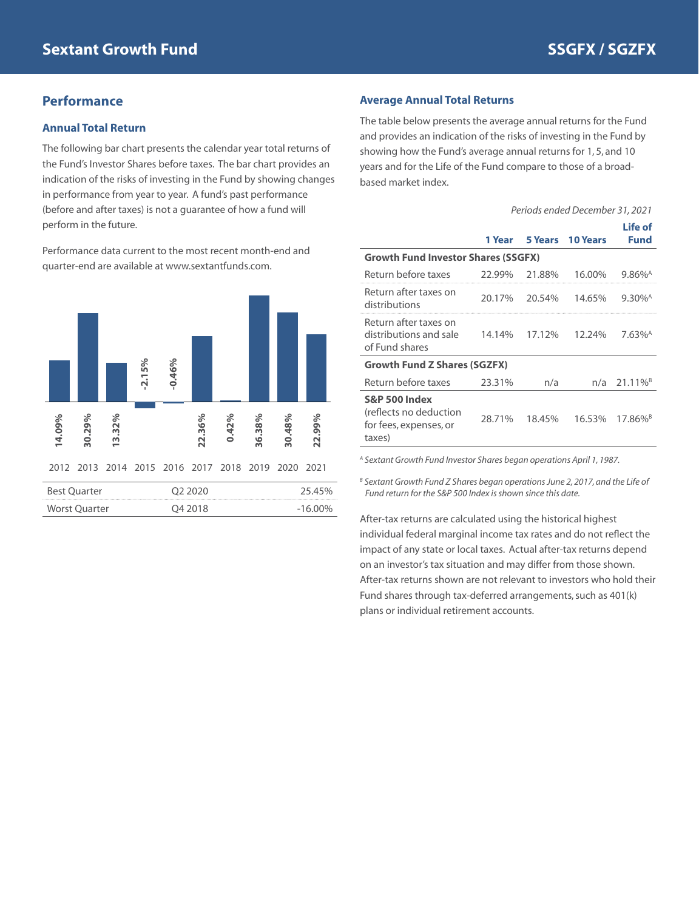## **Performance**

#### **Annual Total Return**

The following bar chart presents the calendar year total returns of the Fund's Investor Shares before taxes. The bar chart provides an indication of the risks of investing in the Fund by showing changes in performance from year to year. A fund's past performance (before and after taxes) is not a guarantee of how a fund will perform in the future.

Performance data current to the most recent month-end and quarter-end are available at www.sextantfunds.com.



### **Average Annual Total Returns**

The table below presents the average annual returns for the Fund and provides an indication of the risks of investing in the Fund by showing how the Fund's average annual returns for 1, 5, and 10 years and for the Life of the Fund compare to those of a broadbased market index.

|                                                                                        | Periods ended December 31, 2021 |         |                 |                        |
|----------------------------------------------------------------------------------------|---------------------------------|---------|-----------------|------------------------|
|                                                                                        | 1 Year                          | 5 Years | <b>10 Years</b> | Life of<br><b>Fund</b> |
| <b>Growth Fund Investor Shares (SSGFX)</b>                                             |                                 |         |                 |                        |
| Return before taxes                                                                    | 22.99%                          | 21.88%  | 16.00%          | $9.86\%$ <sup>A</sup>  |
| Return after taxes on<br>distributions                                                 | 20.17%                          | 20.54%  | 14.65%          | $9.30\%$ <sup>A</sup>  |
| Return after taxes on<br>distributions and sale<br>of Fund shares                      | 14.14%                          | 17.12%  | 12.24%          | $7.63\%$ <sup>A</sup>  |
| <b>Growth Fund Z Shares (SGZFX)</b>                                                    |                                 |         |                 |                        |
| Return before taxes                                                                    | 23.31%                          | n/a     | n/a             | 21.11% <sup>B</sup>    |
| <b>S&amp;P 500 Index</b><br>(reflects no deduction<br>for fees, expenses, or<br>taxes) | 28.71%                          | 18.45%  | 16.53%          | $17.86\%$ <sup>B</sup> |

*A Sextant Growth Fund Investor Shares began operations April 1, 1987.*

*B Sextant Growth Fund Z Shares began operations June 2, 2017, and the Life of Fund return for the S&P 500 Index is shown since this date.*

After-tax returns are calculated using the historical highest individual federal marginal income tax rates and do not reflect the impact of any state or local taxes. Actual after-tax returns depend on an investor's tax situation and may differ from those shown. After-tax returns shown are not relevant to investors who hold their Fund shares through tax-deferred arrangements, such as 401(k) plans or individual retirement accounts.